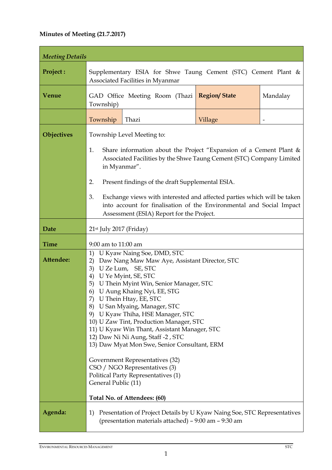## **Minutes of Meeting (21.7.2017)**

| <b>Meeting Details</b>   |                                                                                                                                                                                                                                                                                                                                                                                                                                                                                                                                                                                                                                                                                                                |       |                     |          |
|--------------------------|----------------------------------------------------------------------------------------------------------------------------------------------------------------------------------------------------------------------------------------------------------------------------------------------------------------------------------------------------------------------------------------------------------------------------------------------------------------------------------------------------------------------------------------------------------------------------------------------------------------------------------------------------------------------------------------------------------------|-------|---------------------|----------|
| Project:                 | Supplementary ESIA for Shwe Taung Cement (STC) Cement Plant &<br>Associated Facilities in Myanmar                                                                                                                                                                                                                                                                                                                                                                                                                                                                                                                                                                                                              |       |                     |          |
| <b>Venue</b>             | GAD Office Meeting Room (Thazi<br>Township)                                                                                                                                                                                                                                                                                                                                                                                                                                                                                                                                                                                                                                                                    |       | <b>Region/State</b> | Mandalay |
|                          | Township                                                                                                                                                                                                                                                                                                                                                                                                                                                                                                                                                                                                                                                                                                       | Thazi | Village             |          |
| Objectives               | Township Level Meeting to:<br>1.<br>Share information about the Project "Expansion of a Cement Plant $\&$<br>Associated Facilities by the Shwe Taung Cement (STC) Company Limited<br>in Myanmar".                                                                                                                                                                                                                                                                                                                                                                                                                                                                                                              |       |                     |          |
|                          | 2.<br>Present findings of the draft Supplemental ESIA.<br>3.<br>Exchange views with interested and affected parties which will be taken<br>into account for finalisation of the Environmental and Social Impact<br>Assessment (ESIA) Report for the Project.                                                                                                                                                                                                                                                                                                                                                                                                                                                   |       |                     |          |
| <b>Date</b>              | $21st$ July 2017 (Friday)                                                                                                                                                                                                                                                                                                                                                                                                                                                                                                                                                                                                                                                                                      |       |                     |          |
| <b>Time</b><br>Attendee: | 9:00 am to 11:00 am<br>U Kyaw Naing Soe, DMD, STC<br>1)<br>Daw Nang Maw Maw Aye, Assistant Director, STC<br>2)<br>3)<br>U Ze Lum, SE, STC<br>4)<br>U Ye Myint, SE, STC<br>U Thein Myint Win, Senior Manager, STC<br>5)<br>U Aung Khaing Nyi, EE, STG<br>6)<br>7) U Thein Htay, EE, STC<br>8) U San Myaing, Manager, STC<br>9) U Kyaw Thiha, HSE Manager, STC<br>10) U Zaw Tint, Production Manager, STC<br>11) U Kyaw Win Thant, Assistant Manager, STC<br>12) Daw Ni Ni Aung, Staff -2, STC<br>13) Daw Myat Mon Swe, Senior Consultant, ERM<br>Government Representatives (32)<br>CSO / NGO Representatives (3)<br>Political Party Representatives (1)<br>General Public (11)<br>Total No. of Attendees: (60) |       |                     |          |
| Agenda:                  | Presentation of Project Details by U Kyaw Naing Soe, STC Representatives<br>1)<br>(presentation materials attached) – 9:00 am – 9:30 am                                                                                                                                                                                                                                                                                                                                                                                                                                                                                                                                                                        |       |                     |          |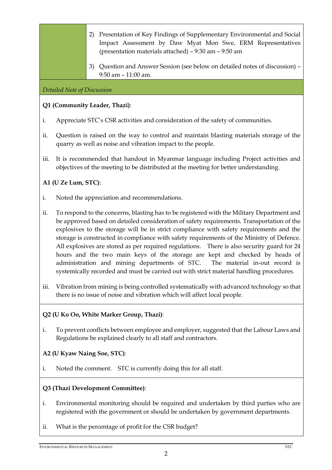- 2) Presentation of Key Findings of Supplementary Environmental and Social Impact Assessment by Daw Myat Mon Swe, ERM Representatives (presentation materials attached) – 9:30 am – 9:50 am
- 3) Question and Answer Session (see below on detailed notes of discussion) 9:50 am – 11:00 am.

#### *Detailed Note of Discussion*

#### **Q1 (Community Leader, Thazi)**:

- i. Appreciate STC's CSR activities and consideration of the safety of communities.
- ii. Question is raised on the way to control and maintain blasting materials storage of the quarry as well as noise and vibration impact to the people.
- iii. It is recommended that handout in Myanmar language including Project activities and objectives of the meeting to be distributed at the meeting for better understanding.

#### **A1 (U Ze Lum, STC)**:

- i. Noted the appreciation and recommendations.
- ii. To respond to the concerns, blasting has to be registered with the Military Department and be approved based on detailed consideration of safety requirements. Transportation of the explosives to the storage will be in strict compliance with safety requirements and the storage is constructed in compliance with safety requirements of the Ministry of Defence. All explosives are stored as per required regulations. There is also security guard for 24 hours and the two main keys of the storage are kept and checked by heads of administration and mining departments of STC. The material in-out record is systemically recorded and must be carried out with strict material handling procedures.
- iii. Vibration from mining is being controlled systematically with advanced technology so that there is no issue of noise and vibration which will affect local people.

#### **Q2 (U Ko Oo, White Marker Group, Thazi)**:

i. To prevent conflicts between employee and employer, suggested that the Labour Laws and Regulations be explained clearly to all staff and contractors.

### **A2 (U Kyaw Naing Soe, STC)**:

i. Noted the comment. STC is currently doing this for all staff.

#### **Q3 (Thazi Development Committee)**:

- i. Environmental monitoring should be required and undertaken by third parties who are registered with the government or should be undertaken by government departments.
- ii. What is the percentage of profit for the CSR budget?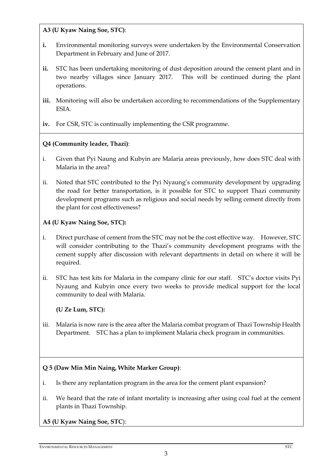**A3 (U Kyaw Naing Soe, STC)**:

- **i.** Environmental monitoring surveys were undertaken by the Environmental Conservation Department in February and June of 2017.
- **ii.** STC has been undertaking monitoring of dust deposition around the cement plant and in two nearby villages since January 2017. This will be continued during the plant operations.
- iii. Monitoring will also be undertaken according to recommendations of the Supplementary ESIA.
- **iv.** For CSR, STC is continually implementing the CSR programme.

# **Q4 (Community leader, Thazi)**:

- i. Given that Pyi Naung and Kubyin are Malaria areas previously, how does STC deal with Malaria in the area?
- ii. Noted that STC contributed to the Pyi Nyaung's community development by upgrading the road for better transportation, is it possible for STC to support Thazi community development programs such as religious and social needs by selling cement directly from the plant for cost effectiveness?

## **A4 (U Kyaw Naing Soe, STC):**

- i. Direct purchase of cement from the STC may not be the cost effective way. However, STC will consider contributing to the Thazi's community development programs with the cement supply after discussion with relevant departments in detail on where it will be required.
- ii. STC has test kits for Malaria in the company clinic for our staff. STC's doctor visits Pyi Nyaung and Kubyin once every two weeks to provide medical support for the local community to deal with Malaria.

# **(U Ze Lum, STC):**

iii. Malaria is now rare is the area after the Malaria combat program of Thazi Township Health Department. STC has a plan to implement Malaria check program in communities.

### **Q 5 (Daw Min Min Naing, White Marker Group)**:

- i. Is there any replantation program in the area for the cement plant expansion?
- ii. We heard that the rate of infant mortality is increasing after using coal fuel at the cement plants in Thazi Township.

**A5 (U Kyaw Naing Soe, STC**):

#### **ENVIRONMENTAL RESOURCES MANAGEMENT** STC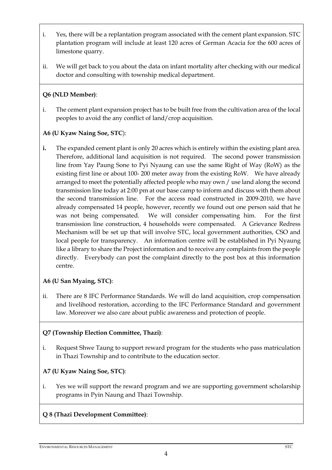- i. Yes, there will be a replantation program associated with the cement plant expansion. STC plantation program will include at least 120 acres of German Acacia for the 600 acres of limestone quarry.
- ii. We will get back to you about the data on infant mortality after checking with our medical doctor and consulting with township medical department.

## **Q6 (NLD Member)**:

i. The cement plant expansion project has to be built free from the cultivation area of the local peoples to avoid the any conflict of land/crop acquisition.

## **A6 (U Kyaw Naing Soe, STC**):

**i.** The expanded cement plant is only 20 acres which is entirely within the existing plant area. Therefore, additional land acquisition is not required. The second power transmission line from Yay Paung Sone to Pyi Nyaung can use the same Right of Way (RoW) as the existing first line or about 100- 200 meter away from the existing RoW. We have already arranged to meet the potentially affected people who may own / use land along the second transmission line today at 2:00 pm at our base camp to inform and discuss with them about the second transmission line. For the access road constructed in 2009-2010, we have already compensated 14 people, however, recently we found out one person said that he was not being compensated. We will consider compensating him. For the first transmission line construction, 4 households were compensated. A Grievance Redress Mechanism will be set up that will involve STC, local government authorities, CSO and local people for transparency. An information centre will be established in Pyi Nyaung like a library to share the Project information and to receive any complaints from the people directly. Everybody can post the complaint directly to the post box at this information centre.

# **A6 (U San Myaing, STC)**:

ii. There are 8 IFC Performance Standards. We will do land acquisition, crop compensation and livelihood restoration, according to the IFC Performance Standard and government law. Moreover we also care about public awareness and protection of people.

### **Q7 (Township Election Committee, Thazi)**:

i. Request Shwe Taung to support reward program for the students who pass matriculation in Thazi Township and to contribute to the education sector.

# **A7 (U Kyaw Naing Soe, STC)**:

i. Yes we will support the reward program and we are supporting government scholarship programs in Pyin Naung and Thazi Township.

# **Q 8 (Thazi Development Committee)**:

#### **ENVIRONMENTAL RESOURCES MANAGEMENT** STC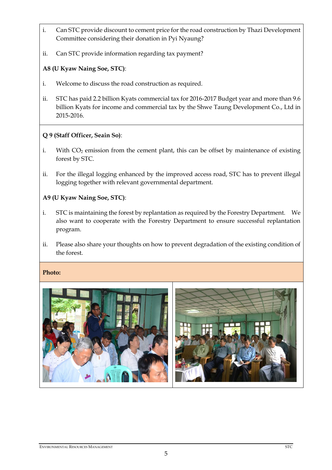- i. Can STC provide discount to cement price for the road construction by Thazi Development Committee considering their donation in Pyi Nyaung?
- ii. Can STC provide information regarding tax payment?

#### **A8 (U Kyaw Naing Soe, STC)**:

- i. Welcome to discuss the road construction as required.
- ii. STC has paid 2.2 billion Kyats commercial tax for 2016-2017 Budget year and more than 9.6 billion Kyats for income and commercial tax by the Shwe Taung Development Co., Ltd in 2015-2016.

### **Q 9 (Staff Officer, Seain So)**:

- i. With  $CO<sub>2</sub>$  emission from the cement plant, this can be offset by maintenance of existing forest by STC.
- ii. For the illegal logging enhanced by the improved access road, STC has to prevent illegal logging together with relevant governmental department.

#### **A9 (U Kyaw Naing Soe, STC)**:

- i. STC is maintaining the forest by replantation as required by the Forestry Department. We also want to cooperate with the Forestry Department to ensure successful replantation program.
- ii. Please also share your thoughts on how to prevent degradation of the existing condition of the forest.

#### **Photo:**